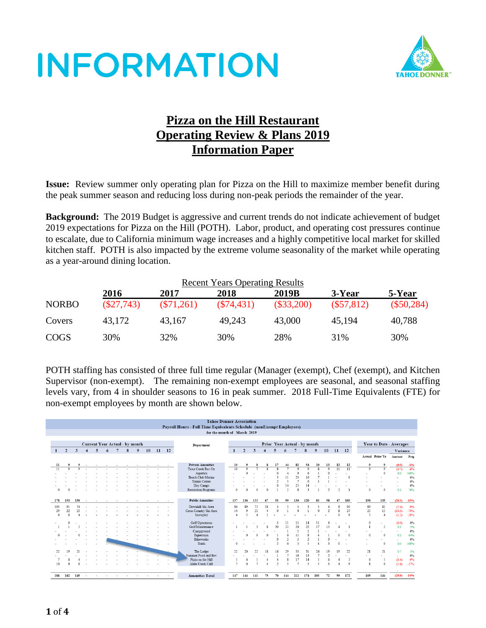

### **Pizza on the Hill Restaurant Operating Review & Plans 2019 Information Paper**

**Issue:** Review summer only operating plan for Pizza on the Hill to maximize member benefit during the peak summer season and reducing loss during non-peak periods the remainder of the year.

**Background:** The 2019 Budget is aggressive and current trends do not indicate achievement of budget 2019 expectations for Pizza on the Hill (POTH). Labor, product, and operating cost pressures continue to escalate, due to California minimum wage increases and a highly competitive local market for skilled kitchen staff. POTH is also impacted by the extreme volume seasonality of the market while operating as a year-around dining location.

|              | <b>Recent Years Operating Results</b> |              |              |              |              |              |  |  |  |  |  |
|--------------|---------------------------------------|--------------|--------------|--------------|--------------|--------------|--|--|--|--|--|
|              | 2016                                  | 2017         | 2018         | 2019B        | 3-Year       | 5-Year       |  |  |  |  |  |
| <b>NORBO</b> | $(\$27,743)$                          | $(\$71,261)$ | $(\$74,431)$ | $(\$33,200)$ | $(\$57,812)$ | $(\$50,284)$ |  |  |  |  |  |
| Covers       | 43.172                                | 43,167       | 49,243       | 43,000       | 45.194       | 40,788       |  |  |  |  |  |
| <b>COGS</b>  | 30%                                   | 32%          | 30%          | 28%          | 31%          | 30%          |  |  |  |  |  |

POTH staffing has consisted of three full time regular (Manager (exempt), Chef (exempt), and Kitchen Supervisor (non-exempt). The remaining non-exempt employees are seasonal, and seasonal staffing levels vary, from 4 in shoulder seasons to 16 in peak summer. 2018 Full-Time Equivalents (FTE) for non-exempt employees by month are shown below.

|     | <b>Tahoe Donner Association</b><br>Payroll Hours - Full Time Equivalents Schedule (nonExempt Employees) |              |                |                |        |                  |    |                |    |    |           |                                    |                  |                         |              |                         |                         |                                |                          |                |                         |                |                 |                          |                         |                          |                                 |          |
|-----|---------------------------------------------------------------------------------------------------------|--------------|----------------|----------------|--------|------------------|----|----------------|----|----|-----------|------------------------------------|------------------|-------------------------|--------------|-------------------------|-------------------------|--------------------------------|--------------------------|----------------|-------------------------|----------------|-----------------|--------------------------|-------------------------|--------------------------|---------------------------------|----------|
|     | for the month of March 2019                                                                             |              |                |                |        |                  |    |                |    |    |           |                                    |                  |                         |              |                         |                         |                                |                          |                |                         |                |                 |                          |                         |                          |                                 |          |
|     |                                                                                                         |              |                |                |        |                  |    |                |    |    |           |                                    |                  |                         |              |                         |                         |                                |                          |                |                         |                |                 |                          |                         |                          |                                 |          |
|     | Current Year Actual - by month<br>Prior Year Actual - by month<br>Year to Date - Averages<br>Department |              |                |                |        |                  |    |                |    |    |           |                                    |                  |                         |              |                         |                         |                                |                          |                |                         |                |                 |                          |                         |                          |                                 |          |
| 1   | $\overline{2}$                                                                                          | $\mathbf{3}$ | $\overline{4}$ | $\overline{5}$ | 6      | 7                | 8  | $\overline{9}$ | 10 | 11 | <b>12</b> |                                    | 1                | $\overline{2}$          | $\mathbf{3}$ | $\overline{4}$          | $\overline{5}$          | 6                              | $7\phantom{.0}$          | 8              | 9                       | 10             | 11 12           |                          |                         |                          | Variance                        |          |
|     |                                                                                                         |              |                |                |        |                  |    |                |    |    |           |                                    |                  |                         |              |                         |                         |                                |                          |                |                         |                |                 |                          |                         | Actual Prior Yr          |                                 |          |
|     |                                                                                                         |              |                |                |        |                  |    |                |    |    |           |                                    |                  |                         |              |                         |                         |                                |                          |                |                         |                |                 |                          |                         |                          | Amount Petg                     |          |
| 11  |                                                                                                         |              |                |                |        |                  |    |                |    |    |           | <b>Private Amenities</b>           | 10               |                         |              |                         |                         | 44                             | 82                       | 54             |                         |                |                 | 12                       | 9                       |                          | (0.5)                           | $-6%$    |
|     | $\Omega$                                                                                                |              |                |                |        | $\sim$ 100 $\mu$ | Æ. |                |    |    |           | Trout Creek Rec Ctr                | 10               | $\overline{\mathbf{o}}$ |              | $\overline{\mathbf{x}}$ | $\overline{\mathbf{g}}$ |                                | $\overline{\phantom{a}}$ | $\circ$        | 8                       | $\overline{0}$ | $\overline{11}$ | $\overline{11}$          | $\overline{\mathsf{Q}}$ | $\overline{\phantom{a}}$ | (0.7)                           | -8%      |
|     |                                                                                                         |              |                |                |        |                  |    |                |    |    |           | Aquatics                           |                  | $\Omega$                |              |                         | $\mathbf{0}$            | $\overline{4}$                 | $\circ$                  | 6              |                         |                |                 |                          |                         | $\mathbf{0}$             | 0.0                             | 100%     |
|     |                                                                                                         |              |                |                |        |                  |    |                |    |    |           | Beach Club Marina<br>Tennis Center |                  |                         |              |                         | $\overline{2}$          | 11<br>$\overline{\phantom{a}}$ | 23<br>$\overline{7}$     | 16<br>6        | $\overline{\mathbf{3}}$ |                |                 | $\mathbf{0}$             |                         |                          |                                 | 0%<br>0% |
|     |                                                                                                         |              |                |                |        |                  |    |                |    |    |           | Day Camps                          |                  |                         |              |                         | $\mathbf{0}$            | 14                             | 25                       | 14             |                         |                |                 |                          |                         |                          | $\overline{\phantom{a}}$        | 0%       |
|     |                                                                                                         |              |                |                |        |                  |    |                |    |    |           | <b>Recreation Programs</b>         | $\Omega$         |                         | $\theta$     | $\mathbf{0}$            |                         | $\mathcal{D}$                  | $\mathbf{s}$             | $\mathbf{z}$   |                         | $\mathcal{L}$  |                 |                          | $\Omega$                | $\mathbf{0}$             | $\overline{\phantom{a}}$<br>0.1 | 76%      |
|     |                                                                                                         |              |                |                |        |                  |    |                |    |    |           |                                    |                  |                         |              |                         |                         |                                |                          |                |                         |                |                 |                          |                         |                          |                                 |          |
| 178 | 153                                                                                                     | 136          |                |                |        | $\sim$           |    |                |    |    |           | <b>Public Amenities</b>            | 137              | 136                     | 133          | 67                      | 53                      | 99                             | 130                      | 120            | 83                      | 58             | 47              | 160                      | 156                     | 135                      | (20.3)                          | $-15%$   |
| 103 | 91                                                                                                      | 74           |                |                |        |                  |    |                |    |    |           | Downhill Ski Area                  | 86               | 89                      | 72           | 28                      | 3                       | 3                              | 3                        |                |                         | $\overline{4}$ | 8               | 90                       | 89                      | 82                       | (7.4)                           | $-9%$    |
| 29  | 22                                                                                                      | 23           |                |                |        |                  |    |                |    |    |           | Cross Country Ski Area             | 14               | $\mathbf{Q}$            | 21           | $\overline{4}$          | $\mathbf{0}$            |                                | $\ddot{\phantom{0}}$     | $\overline{1}$ | $\theta$                | $\overline{2}$ | 8               | 27                       | 25                      | 15                       | (10.3)                          | $-70%$   |
| 6   | 6                                                                                                       |              |                |                |        | $\sim$           |    |                |    |    |           | Snowplay                           | $\boldsymbol{A}$ | 5                       |              |                         |                         |                                |                          |                |                         |                | $\Omega$        | 6                        | $\sim$                  | $\overline{4}$           | (1.2)                           | $-29%$   |
|     | $\Omega$                                                                                                |              |                |                |        |                  |    |                |    |    |           |                                    |                  |                         |              |                         |                         |                                |                          |                |                         |                |                 |                          |                         |                          |                                 |          |
|     |                                                                                                         |              |                |                |        |                  |    |                |    |    |           | <b>Golf Operations</b>             |                  |                         |              |                         | 3                       | 11                             | 15                       | 14             |                         |                |                 |                          | $\mathbf{0}$            |                          | (0.0)                           | 0%       |
|     |                                                                                                         |              |                |                |        |                  |    |                |    |    |           | Golf Maintenance                   |                  |                         | $\mathbf{R}$ | 8                       | 20                      | 22                             | 20                       | 22             | 17                      | 15             |                 |                          |                         | $\overline{2}$           | 0.1                             | 5%       |
|     |                                                                                                         |              |                |                |        |                  |    |                |    |    |           | Campground                         |                  |                         |              |                         |                         |                                |                          |                |                         |                |                 |                          |                         | $\sim$                   | $\sim$                          | 0%       |
|     |                                                                                                         |              |                |                |        |                  |    |                |    |    |           | Equestrian                         |                  | $\Omega$                | $\Omega$     | $\Omega$                | $\overline{1}$          | 6                              | 11                       | 8              |                         |                | $\theta$        | $\Omega$                 | $\Omega$                | $\mathbf{0}$             | 0.1                             | 64%      |
|     |                                                                                                         |              |                |                |        |                  |    |                |    |    |           | <b>Bikeworks</b>                   |                  |                         |              |                         | $\mathbf{0}$            | $\overline{2}$                 | $\overline{\mathbf{3}}$  | 2              |                         | $\theta$       |                 | ٠                        |                         | $\sim$                   | ٠                               | 0%       |
|     |                                                                                                         |              |                |                |        |                  |    |                |    |    |           | Trails                             | $\Omega$         |                         |              |                         | $\overline{2}$          | 6                              | $\overline{\phantom{a}}$ | 5              |                         | $\mathbf{a}$   | $\Omega$        |                          |                         | $\mathbf{0}$             | 0.0                             | 100%     |
| 22  | 10                                                                                                      |              |                |                |        |                  |    |                |    |    |           | The Lodge                          | 22               | 20                      | 22           | 18                      | 16                      | 29                             | 33                       | 31             | 26                      |                | 10              | 22                       | 21                      | 21                       | 0.7                             | 3%       |
|     |                                                                                                         |              |                |                |        |                  |    |                |    |    |           | Summer Food and Bey                |                  |                         |              |                         | $\mathbf{1}$            | $\overline{7}$                 | 16                       | 13             |                         | $\overline{2}$ |                 | ٠                        |                         | $\sim$                   | $\sim$                          | 0%       |
|     | 6                                                                                                       |              |                |                |        |                  |    |                |    |    |           | Pizza on the Hill                  | $\varsigma$      | 6                       | $\varsigma$  | $\overline{4}$          | $\overline{4}$          | 8                              | 17                       | 14             | 5                       | 6              | $\frac{4}{3}$   | $\overline{\phantom{a}}$ | 6                       | -5                       | (0.4)                           | $-9%$    |
| 10  |                                                                                                         |              |                |                |        |                  |    |                |    |    |           | Alder Creek Café                   | $\overline{7}$   |                         |              |                         | $\mathcal{L}$           | $\tilde{\mathcal{L}}$          | $\overline{z}$           | $\leq$         | $\tilde{\mathbf{z}}$    | 3              |                 | $\circ$                  | $\mathbf{g}$            | 6                        | (1.8)                           | $-27%$   |
| 188 | 162 145                                                                                                 |              | $\sim$         | $\sim$         | $\sim$ | $\sim$           |    |                |    |    |           | <b>Amenities Total</b>             | 147              | 144                     | 141          | 75                      | 70                      | 144                            | 212                      | 174            | 103                     | 72             | 59              | 172                      | 165                     | 144                      | $\sim$<br>(20.8)                | $-14%$   |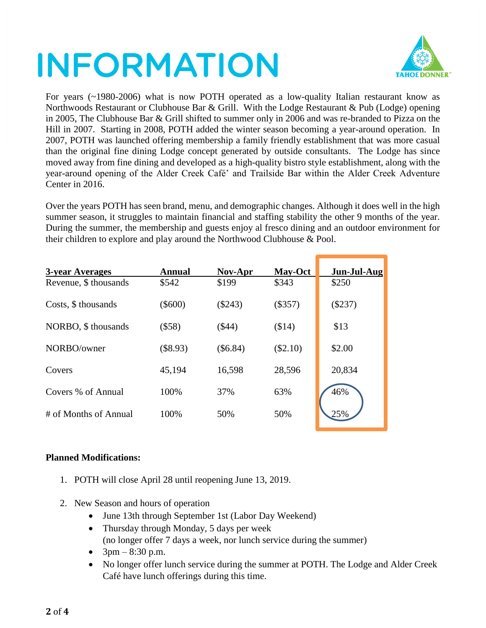

For years (~1980-2006) what is now POTH operated as a low-quality Italian restaurant know as Northwoods Restaurant or Clubhouse Bar & Grill. With the Lodge Restaurant & Pub (Lodge) opening in 2005, The Clubhouse Bar & Grill shifted to summer only in 2006 and was re-branded to Pizza on the Hill in 2007. Starting in 2008, POTH added the winter season becoming a year-around operation. In 2007, POTH was launched offering membership a family friendly establishment that was more casual than the original fine dining Lodge concept generated by outside consultants. The Lodge has since moved away from fine dining and developed as a high-quality bistro style establishment, along with the year-around opening of the Alder Creek Café' and Trailside Bar within the Alder Creek Adventure Center in 2016.

Over the years POTH has seen brand, menu, and demographic changes. Although it does well in the high summer season, it struggles to maintain financial and staffing stability the other 9 months of the year. During the summer, the membership and guests enjoy al fresco dining and an outdoor environment for their children to explore and play around the Northwood Clubhouse & Pool.

| 3-year Averages       | Annual    | Nov-Apr   | <b>May-Oct</b> | Jun-Jul-Aug |
|-----------------------|-----------|-----------|----------------|-------------|
| Revenue, \$ thousands | \$542     | \$199     | \$343          | \$250       |
| Costs, \$ thousands   | $(\$600)$ | $(\$243)$ | (\$357)        | $(\$237)$   |
| NORBO, \$ thousands   | $($ \$58) | $(\$44)$  | (\$14)         | \$13        |
| NORBO/owner           | (\$8.93)  | (\$6.84)  | $(\$2.10)$     | \$2.00      |
| Covers                | 45,194    | 16,598    | 28,596         | 20,834      |
| Covers % of Annual    | 100%      | 37%       | 63%            | 46%         |
| # of Months of Annual | 100%      | 50%       | 50%            | 25%         |

### **Planned Modifications:**

- 1. POTH will close April 28 until reopening June 13, 2019.
- 2. New Season and hours of operation
	- June 13th through September 1st (Labor Day Weekend)
	- Thursday through Monday, 5 days per week (no longer offer 7 days a week, nor lunch service during the summer)
	- $3pm 8:30 p.m.$
	- No longer offer lunch service during the summer at POTH. The Lodge and Alder Creek Café have lunch offerings during this time.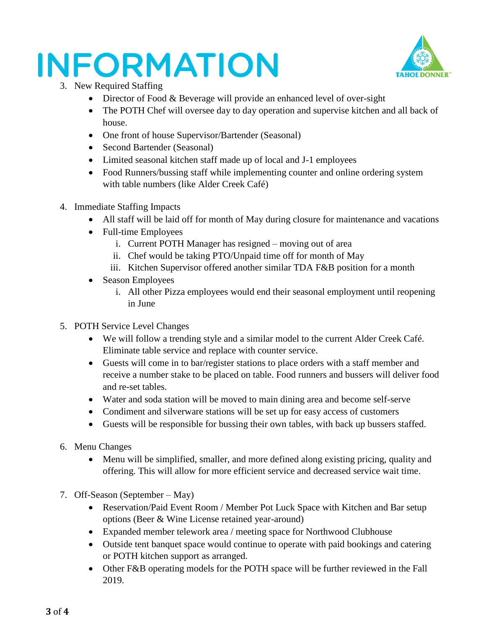

- 3. New Required Staffing
	- Director of Food & Beverage will provide an enhanced level of over-sight
	- The POTH Chef will oversee day to day operation and supervise kitchen and all back of house.
	- One front of house Supervisor/Bartender (Seasonal)
	- Second Bartender (Seasonal)
	- Limited seasonal kitchen staff made up of local and J-1 employees
	- Food Runners/bussing staff while implementing counter and online ordering system with table numbers (like Alder Creek Café)
- 4. Immediate Staffing Impacts
	- All staff will be laid off for month of May during closure for maintenance and vacations
	- Full-time Employees
		- i. Current POTH Manager has resigned moving out of area
		- ii. Chef would be taking PTO/Unpaid time off for month of May
		- iii. Kitchen Supervisor offered another similar TDA F&B position for a month
	- Season Employees
		- i. All other Pizza employees would end their seasonal employment until reopening in June
- 5. POTH Service Level Changes
	- We will follow a trending style and a similar model to the current Alder Creek Café. Eliminate table service and replace with counter service.
	- Guests will come in to bar/register stations to place orders with a staff member and receive a number stake to be placed on table. Food runners and bussers will deliver food and re-set tables.
	- Water and soda station will be moved to main dining area and become self-serve
	- Condiment and silverware stations will be set up for easy access of customers
	- Guests will be responsible for bussing their own tables, with back up bussers staffed.
- 6. Menu Changes
	- Menu will be simplified, smaller, and more defined along existing pricing, quality and offering. This will allow for more efficient service and decreased service wait time.
- 7. Off-Season (September May)
	- Reservation/Paid Event Room / Member Pot Luck Space with Kitchen and Bar setup options (Beer & Wine License retained year-around)
	- Expanded member telework area / meeting space for Northwood Clubhouse
	- Outside tent banquet space would continue to operate with paid bookings and catering or POTH kitchen support as arranged.
	- Other F&B operating models for the POTH space will be further reviewed in the Fall 2019.